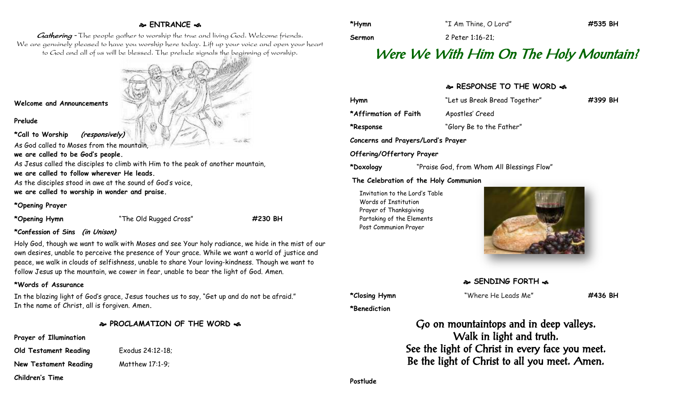# **ENTRANCE**

Gathering - The people gather to worship the true and living God. Welcome friends. We are genuinely pleased to have you worship here today. Lift up your voice and open your heart to God and all of us will be blessed. The prelude signals the beginning of worship.

**Welcome and Announcements**

#### **Prelude**

**\*Call to Worship (responsively)**

As God called to Moses from the mountain,

**we are called to be God's people.**

As Jesus called the disciples to climb with Him to the peak of another mountain, **we are called to follow wherever He leads.**

As the disciples stood in awe at the sound of God's voice, **we are called to worship in wonder and praise.**

**\*Opening Prayer**

**\*Opening Hymn** "The Old Rugged Cross" **#230 BH**

## **\*Confession of Sins (in Unison)**

Holy God, though we want to walk with Moses and see Your holy radiance, we hide in the mist of our own desires, unable to perceive the presence of Your grace. While we want a world of justice and peace, we walk in clouds of selfishness, unable to share Your loving-kindness. Though we want to follow Jesus up the mountain, we cower in fear, unable to bear the light of God. Amen.

# **\*Words of Assurance**

In the blazing light of God's grace, Jesus touches us to say, "Get up and do not be afraid." In the name of Christ, all is forgiven. Amen**.**

**PROCLAMATION OF THE WORD** 

## **Prayer of Illumination**

**Old Testament Reading** Exodus 24:12-18;

**New Testament Reading Matthew 17:1-9;** 

**Children's Time**

Prayer of Thanksgiving Partaking of the Elements Post Communion Prayer



**SENDING FORTH &** 

**\*Benediction**

**\*Closing Hymn** "Where He Leads Me" **#436 BH**

Go on mountaintops and in deep valleys. Walk in light and truth. See the light of Christ in every face you meet. Be the light of Christ to all you meet. Amen.

**Postlude**

**\*Hymn** "I Am Thine, O Lord" **#535 BH**

**Sermon** 2 Peter 1:16-21;

# Were We With Him On The Holy Mountain?

# **RESPONSE TO THE WORD**  $\approx$

**Hymn** "Let us Break Bread Together" **#399 BH** \*Affirmation of Faith Apostles' Creed **\*Response** "Glory Be to the Father" **Concerns and Prayers/Lord's Prayer Offering/Offertory Prayer \*Doxology** "Praise God, from Whom All Blessings Flow" **The Celebration of the Holy Communion** Invitation to the Lord's Table Words of Institution